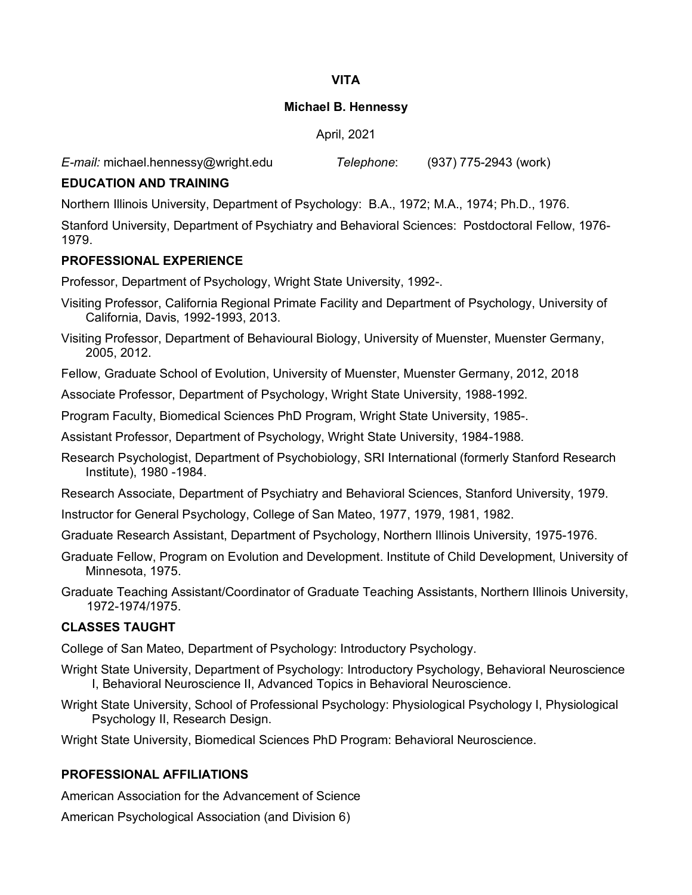# **VITA**

## **Michael B. Hennessy**

April, 2021

*E-mail:* michael.hennessy@wright.edu *Telephone*: (937) 775-2943 (work)

# **EDUCATION AND TRAINING**

Northern Illinois University, Department of Psychology: B.A., 1972; M.A., 1974; Ph.D., 1976.

Stanford University, Department of Psychiatry and Behavioral Sciences: Postdoctoral Fellow, 1976- 1979.

# **PROFESSIONAL EXPERIENCE**

Professor, Department of Psychology, Wright State University, 1992-.

- Visiting Professor, California Regional Primate Facility and Department of Psychology, University of California, Davis, 1992-1993, 2013.
- Visiting Professor, Department of Behavioural Biology, University of Muenster, Muenster Germany, 2005, 2012.
- Fellow, Graduate School of Evolution, University of Muenster, Muenster Germany, 2012, 2018

Associate Professor, Department of Psychology, Wright State University, 1988-1992.

Program Faculty, Biomedical Sciences PhD Program, Wright State University, 1985-.

Assistant Professor, Department of Psychology, Wright State University, 1984-1988.

Research Psychologist, Department of Psychobiology, SRI International (formerly Stanford Research Institute), 1980 -1984.

Research Associate, Department of Psychiatry and Behavioral Sciences, Stanford University, 1979.

Instructor for General Psychology, College of San Mateo, 1977, 1979, 1981, 1982.

Graduate Research Assistant, Department of Psychology, Northern Illinois University, 1975-1976.

Graduate Fellow, Program on Evolution and Development. Institute of Child Development, University of Minnesota, 1975.

Graduate Teaching Assistant/Coordinator of Graduate Teaching Assistants, Northern Illinois University, 1972-1974/1975.

# **CLASSES TAUGHT**

College of San Mateo, Department of Psychology: Introductory Psychology.

- Wright State University, Department of Psychology: Introductory Psychology, Behavioral Neuroscience I, Behavioral Neuroscience II, Advanced Topics in Behavioral Neuroscience.
- Wright State University, School of Professional Psychology: Physiological Psychology I, Physiological Psychology II, Research Design.

Wright State University, Biomedical Sciences PhD Program: Behavioral Neuroscience.

# **PROFESSIONAL AFFILIATIONS**

American Association for the Advancement of Science

American Psychological Association (and Division 6)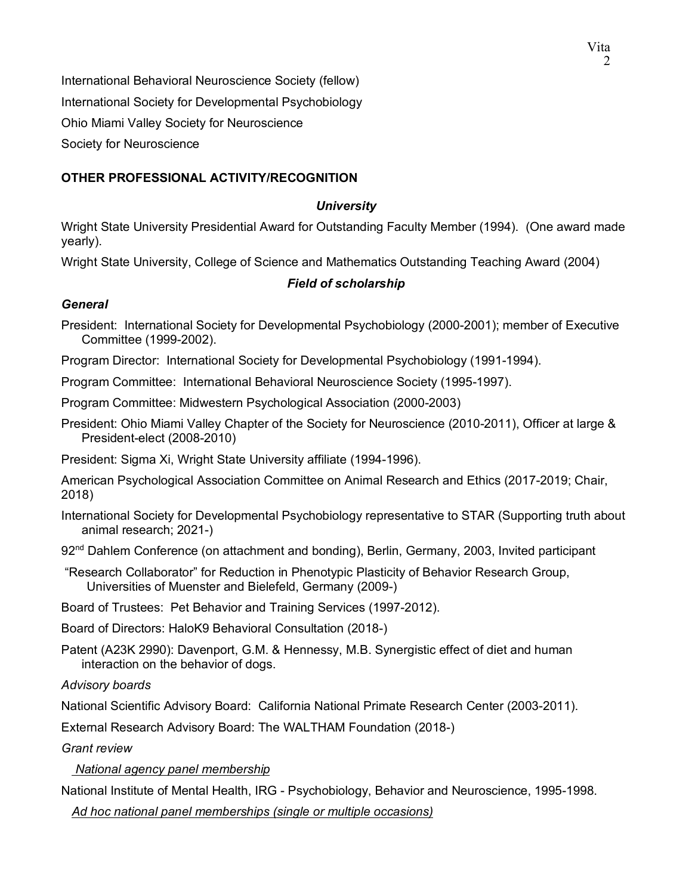International Behavioral Neuroscience Society (fellow) International Society for Developmental Psychobiology Ohio Miami Valley Society for Neuroscience Society for Neuroscience

# **OTHER PROFESSIONAL ACTIVITY/RECOGNITION**

#### *University*

Wright State University Presidential Award for Outstanding Faculty Member (1994). (One award made yearly).

Wright State University, College of Science and Mathematics Outstanding Teaching Award (2004)

# *Field of scholarship*

## *General*

President: International Society for Developmental Psychobiology (2000-2001); member of Executive Committee (1999-2002).

Program Director: International Society for Developmental Psychobiology (1991-1994).

Program Committee: International Behavioral Neuroscience Society (1995-1997).

Program Committee: Midwestern Psychological Association (2000-2003)

President: Ohio Miami Valley Chapter of the Society for Neuroscience (2010-2011), Officer at large & President-elect (2008-2010)

President: Sigma Xi, Wright State University affiliate (1994-1996).

American Psychological Association Committee on Animal Research and Ethics (2017-2019; Chair, 2018)

- International Society for Developmental Psychobiology representative to STAR (Supporting truth about animal research; 2021-)
- $92<sup>nd</sup>$  Dahlem Conference (on attachment and bonding), Berlin, Germany, 2003, Invited participant
- "Research Collaborator" for Reduction in Phenotypic Plasticity of Behavior Research Group, Universities of Muenster and Bielefeld, Germany (2009-)

Board of Trustees: Pet Behavior and Training Services (1997-2012).

Board of Directors: HaloK9 Behavioral Consultation (2018-)

Patent (A23K 2990): Davenport, G.M. & Hennessy, M.B. Synergistic effect of diet and human interaction on the behavior of dogs.

*Advisory boards*

National Scientific Advisory Board: California National Primate Research Center (2003-2011).

External Research Advisory Board: The WALTHAM Foundation (2018-)

*Grant review*

 *National agency panel membership*

National Institute of Mental Health, IRG - Psychobiology, Behavior and Neuroscience, 1995-1998.

 *Ad hoc national panel memberships (single or multiple occasions)*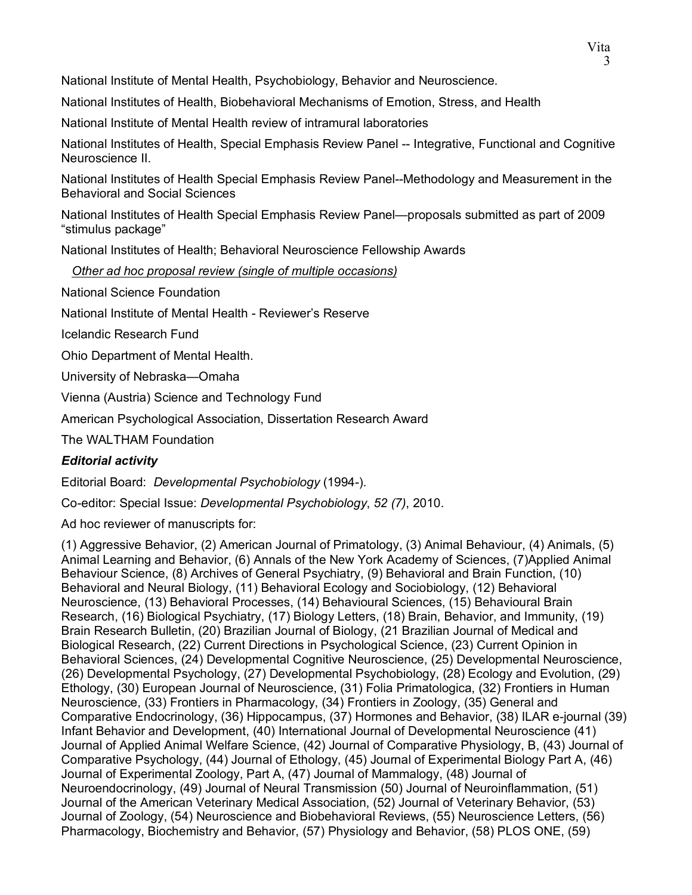National Institute of Mental Health, Psychobiology, Behavior and Neuroscience.

National Institutes of Health, Biobehavioral Mechanisms of Emotion, Stress, and Health

National Institute of Mental Health review of intramural laboratories

National Institutes of Health, Special Emphasis Review Panel -- Integrative, Functional and Cognitive Neuroscience II.

National Institutes of Health Special Emphasis Review Panel--Methodology and Measurement in the Behavioral and Social Sciences

National Institutes of Health Special Emphasis Review Panel—proposals submitted as part of 2009 "stimulus package"

National Institutes of Health; Behavioral Neuroscience Fellowship Awards

 *Other ad hoc proposal review (single of multiple occasions)*

National Science Foundation

National Institute of Mental Health - Reviewer's Reserve

Icelandic Research Fund

Ohio Department of Mental Health.

University of Nebraska—Omaha

Vienna (Austria) Science and Technology Fund

American Psychological Association, Dissertation Research Award

The WALTHAM Foundation

# *Editorial activity*

Editorial Board: *Developmental Psychobiology* (1994-).

Co-editor: Special Issue: *Developmental Psychobiology*, *52 (7)*, 2010.

Ad hoc reviewer of manuscripts for:

(1) Aggressive Behavior, (2) American Journal of Primatology, (3) Animal Behaviour, (4) Animals, (5) Animal Learning and Behavior, (6) Annals of the New York Academy of Sciences, (7)Applied Animal Behaviour Science, (8) Archives of General Psychiatry, (9) Behavioral and Brain Function, (10) Behavioral and Neural Biology, (11) Behavioral Ecology and Sociobiology, (12) Behavioral Neuroscience, (13) Behavioral Processes, (14) Behavioural Sciences, (15) Behavioural Brain Research, (16) Biological Psychiatry, (17) Biology Letters, (18) Brain, Behavior, and Immunity, (19) Brain Research Bulletin, (20) Brazilian Journal of Biology, (21 Brazilian Journal of Medical and Biological Research, (22) Current Directions in Psychological Science, (23) Current Opinion in Behavioral Sciences, (24) Developmental Cognitive Neuroscience, (25) Developmental Neuroscience, (26) Developmental Psychology, (27) Developmental Psychobiology, (28) Ecology and Evolution, (29) Ethology, (30) European Journal of Neuroscience, (31) Folia Primatologica, (32) Frontiers in Human Neuroscience, (33) Frontiers in Pharmacology, (34) Frontiers in Zoology, (35) General and Comparative Endocrinology, (36) Hippocampus, (37) Hormones and Behavior, (38) ILAR e-journal (39) Infant Behavior and Development, (40) International Journal of Developmental Neuroscience (41) Journal of Applied Animal Welfare Science, (42) Journal of Comparative Physiology, B, (43) Journal of Comparative Psychology, (44) Journal of Ethology, (45) Journal of Experimental Biology Part A, (46) Journal of Experimental Zoology, Part A, (47) Journal of Mammalogy, (48) Journal of Neuroendocrinology, (49) Journal of Neural Transmission (50) Journal of Neuroinflammation, (51) Journal of the American Veterinary Medical Association, (52) Journal of Veterinary Behavior, (53) Journal of Zoology, (54) Neuroscience and Biobehavioral Reviews, (55) Neuroscience Letters, (56) Pharmacology, Biochemistry and Behavior, (57) Physiology and Behavior, (58) PLOS ONE, (59)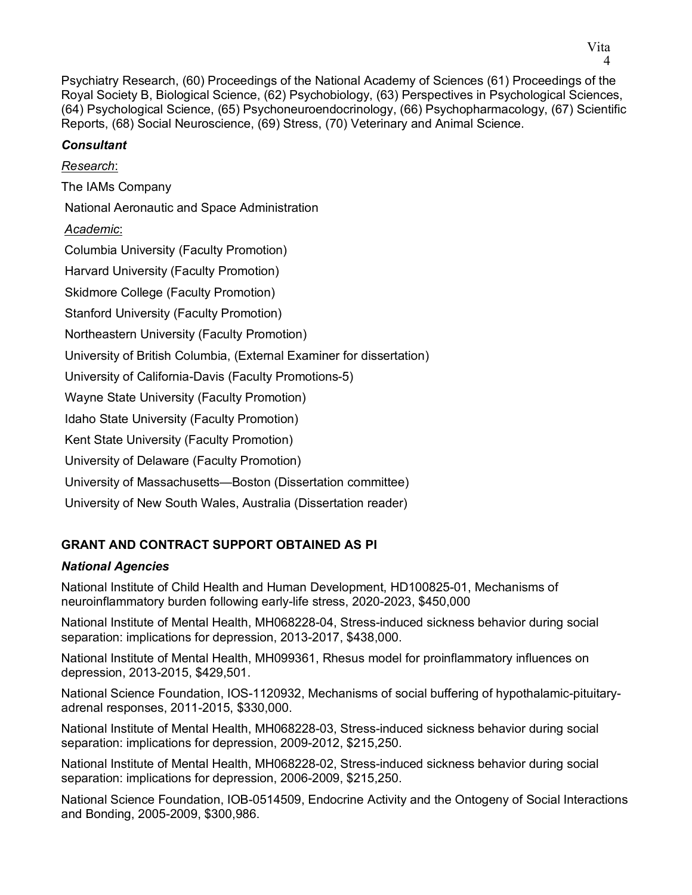Psychiatry Research, (60) Proceedings of the National Academy of Sciences (61) Proceedings of the Royal Society B, Biological Science, (62) Psychobiology, (63) Perspectives in Psychological Sciences, (64) Psychological Science, (65) Psychoneuroendocrinology, (66) Psychopharmacology, (67) Scientific Reports, (68) Social Neuroscience, (69) Stress, (70) Veterinary and Animal Science.

# *Consultant*

*Research*: The IAMs Company National Aeronautic and Space Administration *Academic*: Columbia University (Faculty Promotion) Harvard University (Faculty Promotion) Skidmore College (Faculty Promotion) Stanford University (Faculty Promotion) Northeastern University (Faculty Promotion) University of British Columbia, (External Examiner for dissertation) University of California-Davis (Faculty Promotions-5) Wayne State University (Faculty Promotion) Idaho State University (Faculty Promotion) Kent State University (Faculty Promotion) University of Delaware (Faculty Promotion) University of Massachusetts—Boston (Dissertation committee) University of New South Wales, Australia (Dissertation reader)

# **GRANT AND CONTRACT SUPPORT OBTAINED AS PI**

# *National Agencies*

National Institute of Child Health and Human Development, HD100825-01, Mechanisms of neuroinflammatory burden following early-life stress, 2020-2023, \$450,000

National Institute of Mental Health, MH068228-04, Stress-induced sickness behavior during social separation: implications for depression, 2013-2017, \$438,000.

National Institute of Mental Health, MH099361, Rhesus model for proinflammatory influences on depression, 2013-2015, \$429,501.

National Science Foundation, IOS-1120932, Mechanisms of social buffering of hypothalamic-pituitaryadrenal responses, 2011-2015, \$330,000.

National Institute of Mental Health, MH068228-03, Stress-induced sickness behavior during social separation: implications for depression, 2009-2012, \$215,250.

National Institute of Mental Health, MH068228-02, Stress-induced sickness behavior during social separation: implications for depression, 2006-2009, \$215,250.

National Science Foundation, IOB-0514509, Endocrine Activity and the Ontogeny of Social Interactions and Bonding, 2005-2009, \$300,986.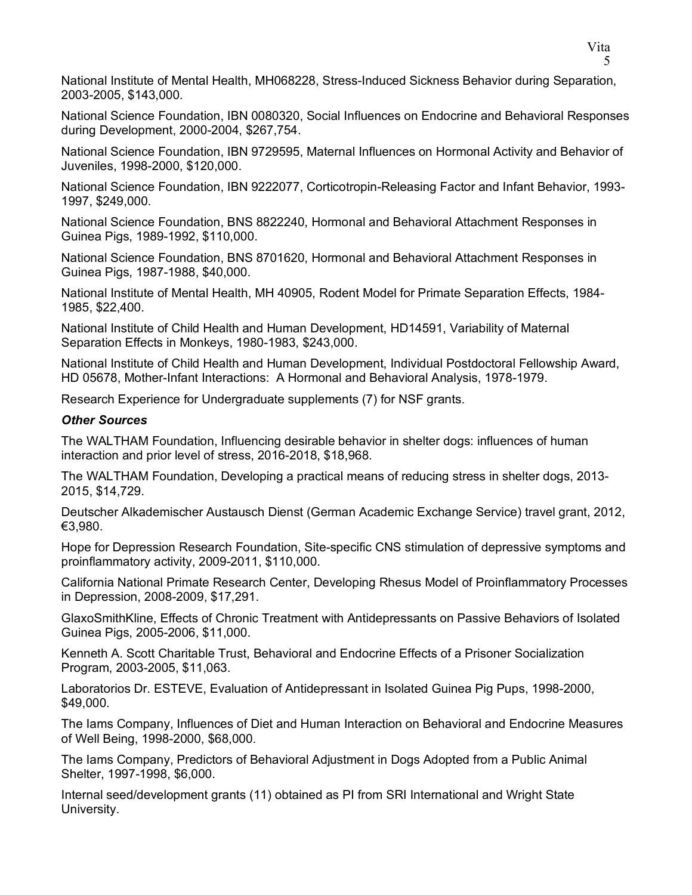National Institute of Mental Health, MH068228, Stress-Induced Sickness Behavior during Separation, 2003-2005, \$143,000.

National Science Foundation, IBN 0080320, Social Influences on Endocrine and Behavioral Responses during Development, 2000-2004, \$267,754.

National Science Foundation, IBN 9729595, Maternal Influences on Hormonal Activity and Behavior of Juveniles, 1998-2000, \$120,000.

National Science Foundation, IBN 9222077, Corticotropin-Releasing Factor and Infant Behavior, 1993- 1997, \$249,000.

National Science Foundation, BNS 8822240, Hormonal and Behavioral Attachment Responses in Guinea Pigs, 1989-1992, \$110,000.

National Science Foundation, BNS 8701620, Hormonal and Behavioral Attachment Responses in Guinea Pigs, 1987-1988, \$40,000.

National Institute of Mental Health, MH 40905, Rodent Model for Primate Separation Effects, 1984- 1985, \$22,400.

National Institute of Child Health and Human Development, HD14591, Variability of Maternal Separation Effects in Monkeys, 1980-1983, \$243,000.

National Institute of Child Health and Human Development, Individual Postdoctoral Fellowship Award, HD 05678, Mother-Infant Interactions: A Hormonal and Behavioral Analysis, 1978-1979.

Research Experience for Undergraduate supplements (7) for NSF grants.

#### *Other Sources*

The WALTHAM Foundation, Influencing desirable behavior in shelter dogs: influences of human interaction and prior level of stress, 2016-2018, \$18,968.

The WALTHAM Foundation, Developing a practical means of reducing stress in shelter dogs, 2013- 2015, \$14,729.

Deutscher Alkademischer Austausch Dienst (German Academic Exchange Service) travel grant, 2012, €3,980.

Hope for Depression Research Foundation, Site-specific CNS stimulation of depressive symptoms and proinflammatory activity, 2009-2011, \$110,000.

California National Primate Research Center, Developing Rhesus Model of Proinflammatory Processes in Depression, 2008-2009, \$17,291.

GlaxoSmithKline, Effects of Chronic Treatment with Antidepressants on Passive Behaviors of Isolated Guinea Pigs, 2005-2006, \$11,000.

Kenneth A. Scott Charitable Trust, Behavioral and Endocrine Effects of a Prisoner Socialization Program, 2003-2005, \$11,063.

Laboratorios Dr. ESTEVE, Evaluation of Antidepressant in Isolated Guinea Pig Pups, 1998-2000, \$49,000.

The Iams Company, Influences of Diet and Human Interaction on Behavioral and Endocrine Measures of Well Being, 1998-2000, \$68,000.

The Iams Company, Predictors of Behavioral Adjustment in Dogs Adopted from a Public Animal Shelter, 1997-1998, \$6,000.

Internal seed/development grants (11) obtained as PI from SRI International and Wright State University.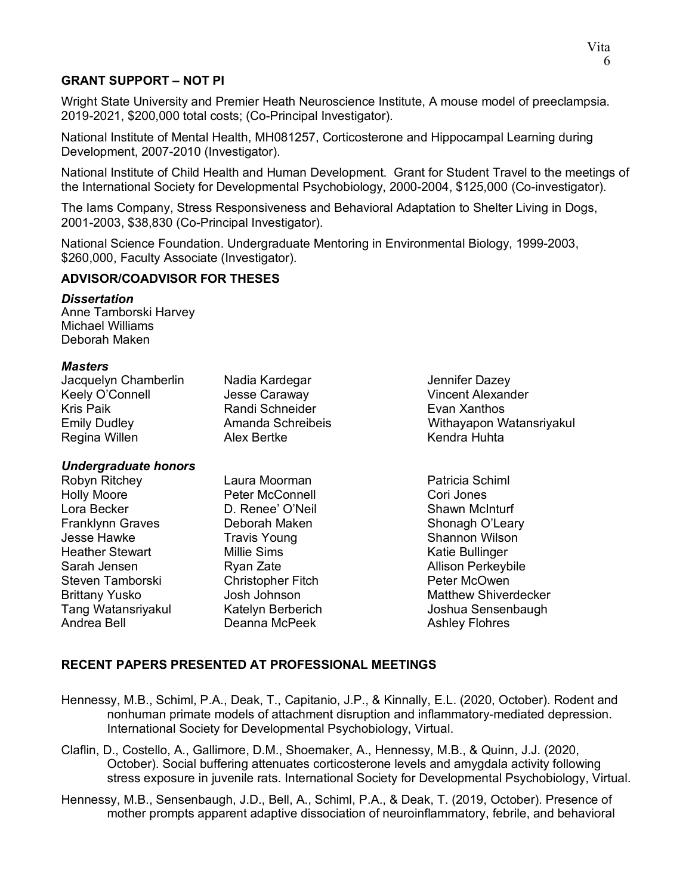# **GRANT SUPPORT – NOT PI**

Wright State University and Premier Heath Neuroscience Institute, A mouse model of preeclampsia. 2019-2021, \$200,000 total costs; (Co-Principal Investigator).

National Institute of Mental Health, MH081257, Corticosterone and Hippocampal Learning during Development, 2007-2010 (Investigator).

National Institute of Child Health and Human Development. Grant for Student Travel to the meetings of the International Society for Developmental Psychobiology, 2000-2004, \$125,000 (Co-investigator).

The Iams Company, Stress Responsiveness and Behavioral Adaptation to Shelter Living in Dogs, 2001-2003, \$38,830 (Co-Principal Investigator).

National Science Foundation. Undergraduate Mentoring in Environmental Biology, 1999-2003, \$260,000, Faculty Associate (Investigator).

#### **ADVISOR/COADVISOR FOR THESES**

#### *Dissertation*

Anne Tamborski Harvey Michael Williams Deborah Maken

#### *Masters*

| Jacquelyn Chamberlin | Nadia Kardegar    |
|----------------------|-------------------|
| Keely O'Connell      | Jesse Caraway     |
| Kris Paik            | Randi Schneider   |
| Emily Dudley         | Amanda Schreibeis |
| Regina Willen        | Alex Bertke       |
|                      |                   |

#### *Undergraduate honors*

Robyn Ritchey **Laura Moorman** Patricia Schiml Holly Moore Peter McConnell Cori Jones Lora Becker D. Renee' O'Neil Shawn McInturf Franklynn Graves **Deborah Maken** Shonagh O'Leary Jesse Hawke **Travis Young** Shannon Wilson Heather Stewart Millie Sims Katie Bullinger Steven Tamborski Christopher Fitch Brittany Yusko Josh Johnson Matthew Shiverdecker Tang Watansriyakul Katelyn Berberich Matelyn Berberich Subshua Sensenbaugh<br>Andrea Bell Channa McPeek Ashley Flohres

Jennifer Dazey **Vincent Alexander** Evan Xanthos Withayapon Watansriyakul Kendra Huhta

Ryan Zate<br>Christopher Fitch **Garan Communist Perkeybile**<br>Peter McOwen Deanna McPeek Ashley Flohres

## **RECENT PAPERS PRESENTED AT PROFESSIONAL MEETINGS**

- Hennessy, M.B., Schiml, P.A., Deak, T., Capitanio, J.P., & Kinnally, E.L. (2020, October). Rodent and nonhuman primate models of attachment disruption and inflammatory-mediated depression. International Society for Developmental Psychobiology, Virtual.
- Claflin, D., Costello, A., Gallimore, D.M., Shoemaker, A., Hennessy, M.B., & Quinn, J.J. (2020, October). Social buffering attenuates corticosterone levels and amygdala activity following stress exposure in juvenile rats. International Society for Developmental Psychobiology, Virtual.
- Hennessy, M.B., Sensenbaugh, J.D., Bell, A., Schiml, P.A., & Deak, T. (2019, October). Presence of mother prompts apparent adaptive dissociation of neuroinflammatory, febrile, and behavioral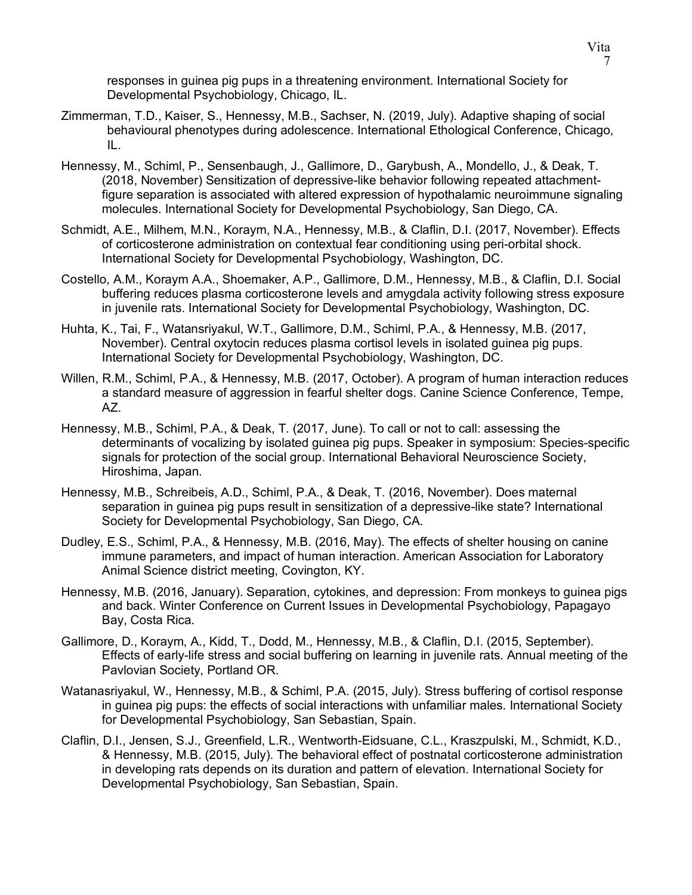responses in guinea pig pups in a threatening environment. International Society for Developmental Psychobiology, Chicago, IL.

- Zimmerman, T.D., Kaiser, S., Hennessy, M.B., Sachser, N. (2019, July). Adaptive shaping of social behavioural phenotypes during adolescence. International Ethological Conference, Chicago, IL.
- Hennessy, M., Schiml, P., Sensenbaugh, J., Gallimore, D., Garybush, A., Mondello, J., & Deak, T. (2018, November) Sensitization of depressive-like behavior following repeated attachmentfigure separation is associated with altered expression of hypothalamic neuroimmune signaling molecules. International Society for Developmental Psychobiology, San Diego, CA.
- Schmidt, A.E., Milhem, M.N., Koraym, N.A., Hennessy, M.B., & Claflin, D.I. (2017, November). Effects of corticosterone administration on contextual fear conditioning using peri-orbital shock. International Society for Developmental Psychobiology, Washington, DC.
- Costello, A.M., Koraym A.A., Shoemaker, A.P., Gallimore, D.M., Hennessy, M.B., & Claflin, D.I. Social buffering reduces plasma corticosterone levels and amygdala activity following stress exposure in juvenile rats. International Society for Developmental Psychobiology, Washington, DC.
- Huhta, K., Tai, F., Watansriyakul, W.T., Gallimore, D.M., Schiml, P.A., & Hennessy, M.B. (2017, November). Central oxytocin reduces plasma cortisol levels in isolated guinea pig pups. International Society for Developmental Psychobiology, Washington, DC.
- Willen, R.M., Schiml, P.A., & Hennessy, M.B. (2017, October). A program of human interaction reduces a standard measure of aggression in fearful shelter dogs. Canine Science Conference, Tempe, AZ.
- Hennessy, M.B., Schiml, P.A., & Deak, T. (2017, June). To call or not to call: assessing the determinants of vocalizing by isolated guinea pig pups. Speaker in symposium: Species-specific signals for protection of the social group. International Behavioral Neuroscience Society, Hiroshima, Japan.
- Hennessy, M.B., Schreibeis, A.D., Schiml, P.A., & Deak, T. (2016, November). Does maternal separation in guinea pig pups result in sensitization of a depressive-like state? International Society for Developmental Psychobiology, San Diego, CA.
- Dudley, E.S., Schiml, P.A., & Hennessy, M.B. (2016, May). The effects of shelter housing on canine immune parameters, and impact of human interaction. American Association for Laboratory Animal Science district meeting, Covington, KY.
- Hennessy, M.B. (2016, January). Separation, cytokines, and depression: From monkeys to guinea pigs and back. Winter Conference on Current Issues in Developmental Psychobiology, Papagayo Bay, Costa Rica.
- Gallimore, D., Koraym, A., Kidd, T., Dodd, M., Hennessy, M.B., & Claflin, D.I. (2015, September). Effects of early-life stress and social buffering on learning in juvenile rats. Annual meeting of the Pavlovian Society, Portland OR.
- Watanasriyakul, W., Hennessy, M.B., & Schiml, P.A. (2015, July). Stress buffering of cortisol response in guinea pig pups: the effects of social interactions with unfamiliar males. International Society for Developmental Psychobiology, San Sebastian, Spain.
- Claflin, D.I., Jensen, S.J., Greenfield, L.R., Wentworth-Eidsuane, C.L., Kraszpulski, M., Schmidt, K.D., & Hennessy, M.B. (2015, July). The behavioral effect of postnatal corticosterone administration in developing rats depends on its duration and pattern of elevation. International Society for Developmental Psychobiology, San Sebastian, Spain.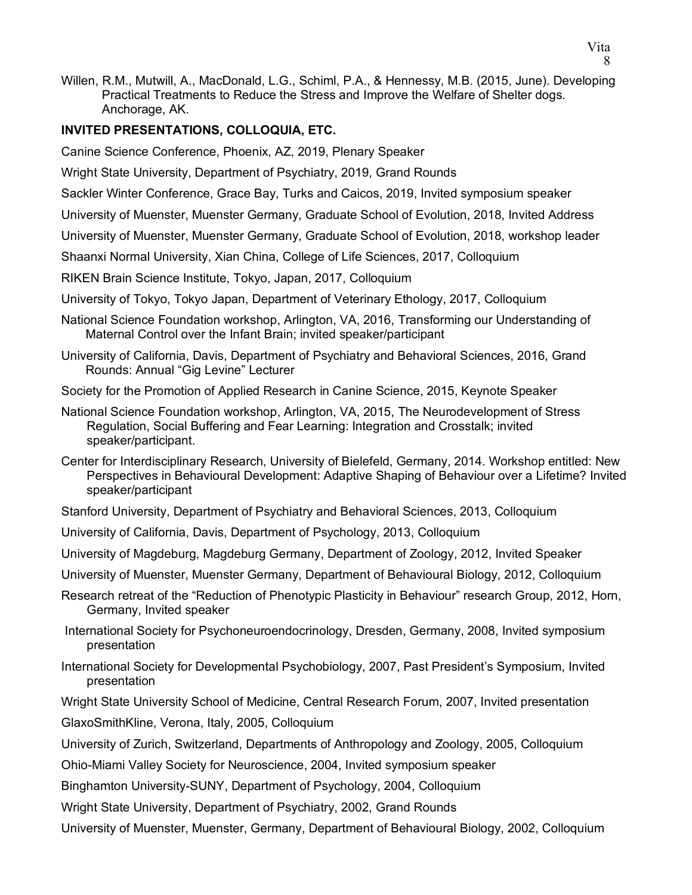Willen, R.M., Mutwill, A., MacDonald, L.G., Schiml, P.A., & Hennessy, M.B. (2015, June). Developing Practical Treatments to Reduce the Stress and Improve the Welfare of Shelter dogs. Anchorage, AK.

## **INVITED PRESENTATIONS, COLLOQUIA, ETC.**

Canine Science Conference, Phoenix, AZ, 2019, Plenary Speaker

Wright State University, Department of Psychiatry, 2019, Grand Rounds

Sackler Winter Conference, Grace Bay, Turks and Caicos, 2019, Invited symposium speaker

University of Muenster, Muenster Germany, Graduate School of Evolution, 2018, Invited Address

University of Muenster, Muenster Germany, Graduate School of Evolution, 2018, workshop leader

Shaanxi Normal University, Xian China, College of Life Sciences, 2017, Colloquium

RIKEN Brain Science Institute, Tokyo, Japan, 2017, Colloquium

University of Tokyo, Tokyo Japan, Department of Veterinary Ethology, 2017, Colloquium

- National Science Foundation workshop, Arlington, VA, 2016, Transforming our Understanding of Maternal Control over the Infant Brain; invited speaker/participant
- University of California, Davis, Department of Psychiatry and Behavioral Sciences, 2016, Grand Rounds: Annual "Gig Levine" Lecturer
- Society for the Promotion of Applied Research in Canine Science, 2015, Keynote Speaker
- National Science Foundation workshop, Arlington, VA, 2015, The Neurodevelopment of Stress Regulation, Social Buffering and Fear Learning: Integration and Crosstalk; invited speaker/participant.
- Center for Interdisciplinary Research, University of Bielefeld, Germany, 2014. Workshop entitled: New Perspectives in Behavioural Development: Adaptive Shaping of Behaviour over a Lifetime? Invited speaker/participant
- Stanford University, Department of Psychiatry and Behavioral Sciences, 2013, Colloquium
- University of California, Davis, Department of Psychology, 2013, Colloquium
- University of Magdeburg, Magdeburg Germany, Department of Zoology, 2012, Invited Speaker

University of Muenster, Muenster Germany, Department of Behavioural Biology, 2012, Colloquium

- Research retreat of the "Reduction of Phenotypic Plasticity in Behaviour" research Group, 2012, Horn, Germany, Invited speaker
- International Society for Psychoneuroendocrinology, Dresden, Germany, 2008, Invited symposium presentation
- International Society for Developmental Psychobiology, 2007, Past President's Symposium, Invited presentation

Wright State University School of Medicine, Central Research Forum, 2007, Invited presentation

GlaxoSmithKline, Verona, Italy, 2005, Colloquium

University of Zurich, Switzerland, Departments of Anthropology and Zoology, 2005, Colloquium

Ohio-Miami Valley Society for Neuroscience, 2004, Invited symposium speaker

Binghamton University-SUNY, Department of Psychology, 2004, Colloquium

Wright State University, Department of Psychiatry, 2002, Grand Rounds

University of Muenster, Muenster, Germany, Department of Behavioural Biology, 2002, Colloquium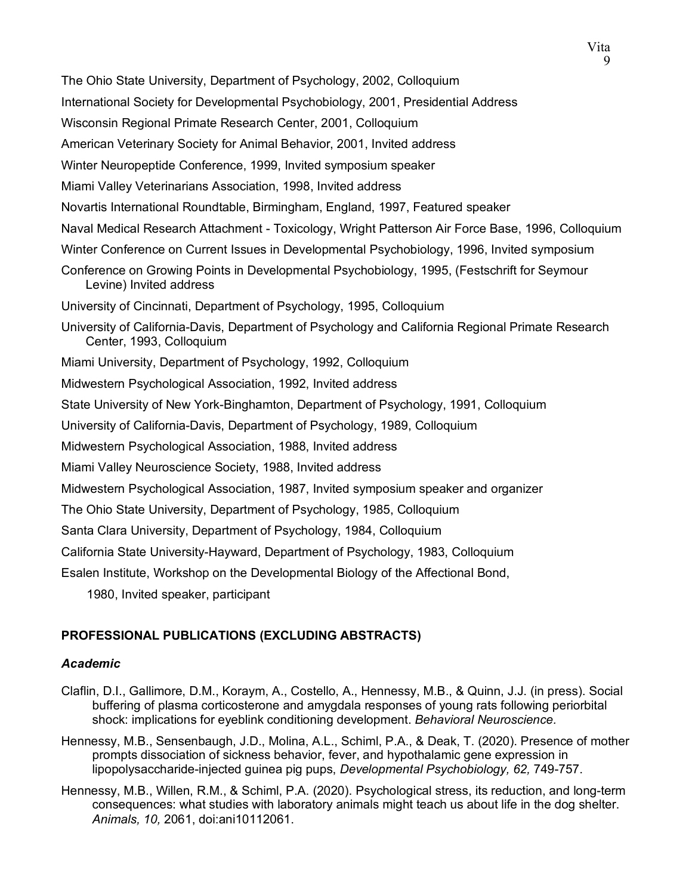9 The Ohio State University, Department of Psychology, 2002, Colloquium International Society for Developmental Psychobiology, 2001, Presidential Address Wisconsin Regional Primate Research Center, 2001, Colloquium American Veterinary Society for Animal Behavior, 2001, Invited address Winter Neuropeptide Conference, 1999, Invited symposium speaker Miami Valley Veterinarians Association, 1998, Invited address Novartis International Roundtable, Birmingham, England, 1997, Featured speaker Naval Medical Research Attachment - Toxicology, Wright Patterson Air Force Base, 1996, Colloquium Winter Conference on Current Issues in Developmental Psychobiology, 1996, Invited symposium Conference on Growing Points in Developmental Psychobiology, 1995, (Festschrift for Seymour Levine) Invited address University of Cincinnati, Department of Psychology, 1995, Colloquium University of California-Davis, Department of Psychology and California Regional Primate Research Center, 1993, Colloquium Miami University, Department of Psychology, 1992, Colloquium Midwestern Psychological Association, 1992, Invited address State University of New York-Binghamton, Department of Psychology, 1991, Colloquium University of California-Davis, Department of Psychology, 1989, Colloquium Midwestern Psychological Association, 1988, Invited address Miami Valley Neuroscience Society, 1988, Invited address Midwestern Psychological Association, 1987, Invited symposium speaker and organizer The Ohio State University, Department of Psychology, 1985, Colloquium Santa Clara University, Department of Psychology, 1984, Colloquium California State University-Hayward, Department of Psychology, 1983, Colloquium Esalen Institute, Workshop on the Developmental Biology of the Affectional Bond, 1980, Invited speaker, participant

Vita

# **PROFESSIONAL PUBLICATIONS (EXCLUDING ABSTRACTS)**

## *Academic*

- Claflin, D.I., Gallimore, D.M., Koraym, A., Costello, A., Hennessy, M.B., & Quinn, J.J. (in press). Social buffering of plasma corticosterone and amygdala responses of young rats following periorbital shock: implications for eyeblink conditioning development. *Behavioral Neuroscience.*
- Hennessy, M.B., Sensenbaugh, J.D., Molina, A.L., Schiml, P.A., & Deak, T. (2020). Presence of mother prompts dissociation of sickness behavior, fever, and hypothalamic gene expression in lipopolysaccharide-injected guinea pig pups, *Developmental Psychobiology, 62,* 749-757.
- Hennessy, M.B., Willen, R.M., & Schiml, P.A. (2020). Psychological stress, its reduction, and long-term consequences: what studies with laboratory animals might teach us about life in the dog shelter. *Animals, 10,* 2061, doi:ani10112061.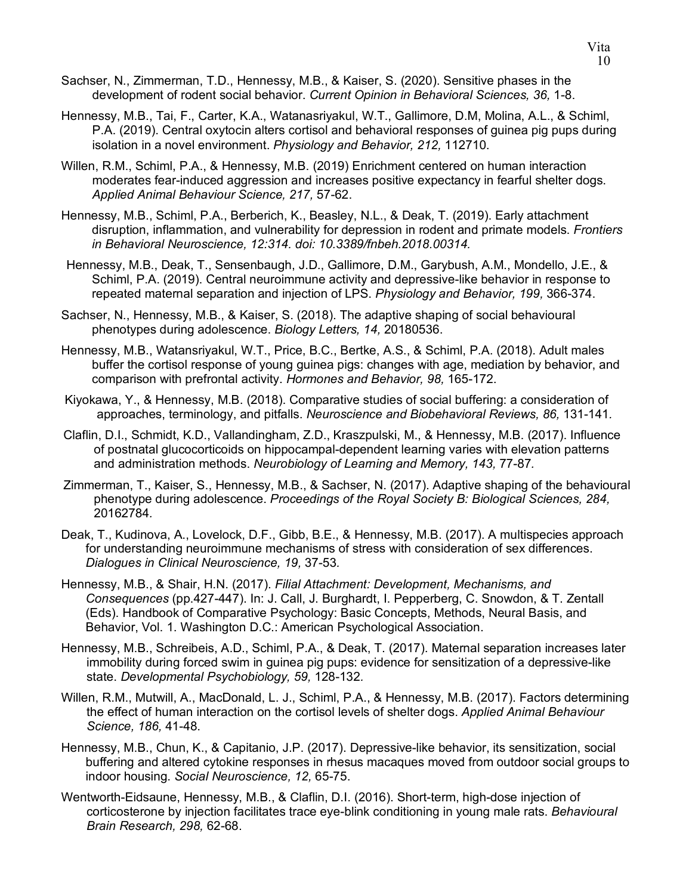- Hennessy, M.B., Tai, F., Carter, K.A., Watanasriyakul, W.T., Gallimore, D.M, Molina, A.L., & Schiml, P.A. (2019). Central oxytocin alters cortisol and behavioral responses of guinea pig pups during isolation in a novel environment. *Physiology and Behavior, 212,* 112710.
- Willen, R.M., Schiml, P.A., & Hennessy, M.B. (2019) Enrichment centered on human interaction moderates fear-induced aggression and increases positive expectancy in fearful shelter dogs. *Applied Animal Behaviour Science, 217,* 57-62.
- Hennessy, M.B., Schiml, P.A., Berberich, K., Beasley, N.L., & Deak, T. (2019). Early attachment disruption, inflammation, and vulnerability for depression in rodent and primate models. *Frontiers in Behavioral Neuroscience, 12:314. doi: 10.3389/fnbeh.2018.00314.*
- Hennessy, M.B., Deak, T., Sensenbaugh, J.D., Gallimore, D.M., Garybush, A.M., Mondello, J.E., & Schiml, P.A. (2019). Central neuroimmune activity and depressive-like behavior in response to repeated maternal separation and injection of LPS. *Physiology and Behavior, 199,* 366-374.
- Sachser, N., Hennessy, M.B., & Kaiser, S. (2018). The adaptive shaping of social behavioural phenotypes during adolescence. *Biology Letters, 14,* 20180536.
- Hennessy, M.B., Watansriyakul, W.T., Price, B.C., Bertke, A.S., & Schiml, P.A. (2018). Adult males buffer the cortisol response of young guinea pigs: changes with age, mediation by behavior, and comparison with prefrontal activity. *Hormones and Behavior, 98,* 165-172.
- Kiyokawa, Y., & Hennessy, M.B. (2018). Comparative studies of social buffering: a consideration of approaches, terminology, and pitfalls. *Neuroscience and Biobehavioral Reviews, 86,* 131-141*.*
- Claflin, D.I., Schmidt, K.D., Vallandingham, Z.D., Kraszpulski, M., & Hennessy, M.B. (2017). Influence of postnatal glucocorticoids on hippocampal-dependent learning varies with elevation patterns and administration methods. *Neurobiology of Learning and Memory, 143,* 77-87*.*
- Zimmerman, T., Kaiser, S., Hennessy, M.B., & Sachser, N. (2017). Adaptive shaping of the behavioural phenotype during adolescence. *Proceedings of the Royal Society B: Biological Sciences, 284,*  20162784*.*
- Deak, T., Kudinova, A., Lovelock, D.F., Gibb, B.E., & Hennessy, M.B. (2017). A multispecies approach for understanding neuroimmune mechanisms of stress with consideration of sex differences. *Dialogues in Clinical Neuroscience, 19,* 37-53*.*
- Hennessy, M.B., & Shair, H.N. (2017). *Filial Attachment: Development, Mechanisms, and Consequences* (pp.427-447). In: J. Call, J. Burghardt, I. Pepperberg, C. Snowdon, & T. Zentall (Eds). Handbook of Comparative Psychology: Basic Concepts, Methods, Neural Basis, and Behavior, Vol. 1. Washington D.C.: American Psychological Association.
- Hennessy, M.B., Schreibeis, A.D., Schiml, P.A., & Deak, T. (2017). Maternal separation increases later immobility during forced swim in guinea pig pups: evidence for sensitization of a depressive-like state. *Developmental Psychobiology, 59,* 128-132*.*
- Willen, R.M., Mutwill, A., MacDonald, L. J., Schiml, P.A., & Hennessy, M.B. (2017). Factors determining the effect of human interaction on the cortisol levels of shelter dogs. *Applied Animal Behaviour Science, 186,* 41-48.
- Hennessy, M.B., Chun, K., & Capitanio, J.P. (2017). Depressive-like behavior, its sensitization, social buffering and altered cytokine responses in rhesus macaques moved from outdoor social groups to indoor housing. *Social Neuroscience, 12,* 65-75.
- Wentworth-Eidsaune, Hennessy, M.B., & Claflin, D.I. (2016). Short-term, high-dose injection of corticosterone by injection facilitates trace eye-blink conditioning in young male rats. *Behavioural Brain Research, 298,* 62-68.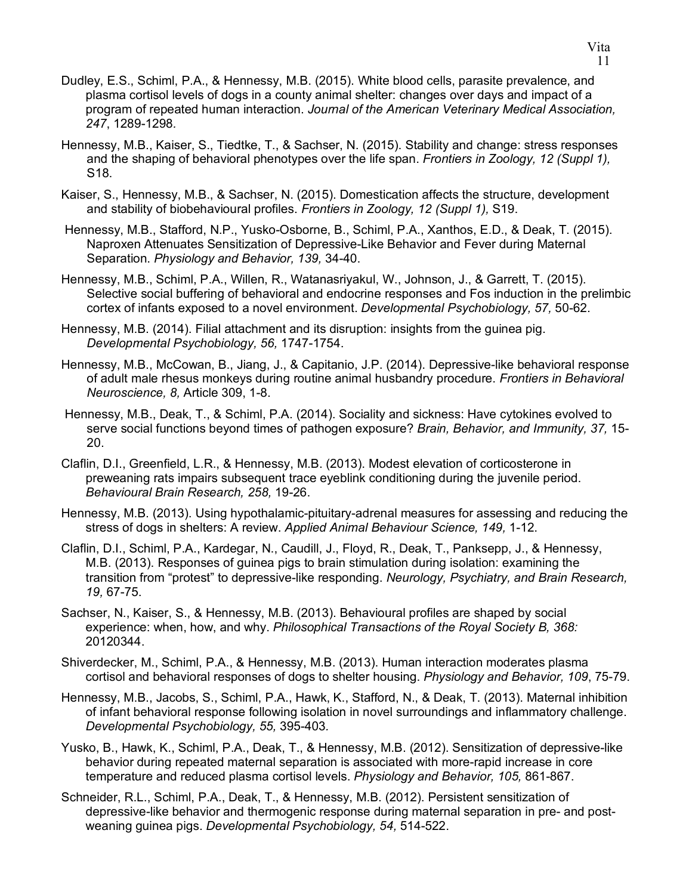- Dudley, E.S., Schiml, P.A., & Hennessy, M.B. (2015). White blood cells, parasite prevalence, and plasma cortisol levels of dogs in a county animal shelter: changes over days and impact of a program of repeated human interaction. *Journal of the American Veterinary Medical Association, 247*, 1289-1298*.*
- Hennessy, M.B., Kaiser, S., Tiedtke, T., & Sachser, N. (2015). Stability and change: stress responses and the shaping of behavioral phenotypes over the life span. *Frontiers in Zoology, 12 (Suppl 1),*  S18.
- Kaiser, S., Hennessy, M.B., & Sachser, N. (2015). Domestication affects the structure, development and stability of biobehavioural profiles. *Frontiers in Zoology, 12 (Suppl 1),* S19.
- Hennessy, M.B., Stafford, N.P., Yusko-Osborne, B., Schiml, P.A., Xanthos, E.D., & Deak, T. (2015). Naproxen Attenuates Sensitization of Depressive-Like Behavior and Fever during Maternal Separation. *Physiology and Behavior, 139,* 34-40.
- Hennessy, M.B., Schiml, P.A., Willen, R., Watanasriyakul, W., Johnson, J., & Garrett, T. (2015). Selective social buffering of behavioral and endocrine responses and Fos induction in the prelimbic cortex of infants exposed to a novel environment. *Developmental Psychobiology, 57,* 50-62.
- Hennessy, M.B. (2014). Filial attachment and its disruption: insights from the guinea pig. *Developmental Psychobiology, 56,* 1747-1754.
- Hennessy, M.B., McCowan, B., Jiang, J., & Capitanio, J.P. (2014). Depressive-like behavioral response of adult male rhesus monkeys during routine animal husbandry procedure. *Frontiers in Behavioral Neuroscience, 8,* Article 309, 1-8.
- Hennessy, M.B., Deak, T., & Schiml, P.A. (2014). Sociality and sickness: Have cytokines evolved to serve social functions beyond times of pathogen exposure? *Brain, Behavior, and Immunity, 37,* 15- 20.
- Claflin, D.I., Greenfield, L.R., & Hennessy, M.B. (2013). Modest elevation of corticosterone in preweaning rats impairs subsequent trace eyeblink conditioning during the juvenile period. *Behavioural Brain Research, 258,* 19-26.
- Hennessy, M.B. (2013). Using hypothalamic-pituitary-adrenal measures for assessing and reducing the stress of dogs in shelters: A review. *Applied Animal Behaviour Science, 149,* 1-12.
- Claflin, D.I., Schiml, P.A., Kardegar, N., Caudill, J., Floyd, R., Deak, T., Panksepp, J., & Hennessy, M.B. (2013). Responses of guinea pigs to brain stimulation during isolation: examining the transition from "protest" to depressive-like responding. *Neurology, Psychiatry, and Brain Research, 19,* 67-75.
- Sachser, N., Kaiser, S., & Hennessy, M.B. (2013). Behavioural profiles are shaped by social experience: when, how, and why. *Philosophical Transactions of the Royal Society B, 368:*  20120344.
- Shiverdecker, M., Schiml, P.A., & Hennessy, M.B. (2013). Human interaction moderates plasma cortisol and behavioral responses of dogs to shelter housing. *Physiology and Behavior, 109*, 75-79.
- Hennessy, M.B., Jacobs, S., Schiml, P.A., Hawk, K., Stafford, N., & Deak, T. (2013). Maternal inhibition of infant behavioral response following isolation in novel surroundings and inflammatory challenge. *Developmental Psychobiology, 55,* 395-403*.*
- Yusko, B., Hawk, K., Schiml, P.A., Deak, T., & Hennessy, M.B. (2012). Sensitization of depressive-like behavior during repeated maternal separation is associated with more-rapid increase in core temperature and reduced plasma cortisol levels. *Physiology and Behavior, 105,* 861-867.
- Schneider, R.L., Schiml, P.A., Deak, T., & Hennessy, M.B. (2012). Persistent sensitization of depressive-like behavior and thermogenic response during maternal separation in pre- and postweaning guinea pigs. *Developmental Psychobiology, 54,* 514-522.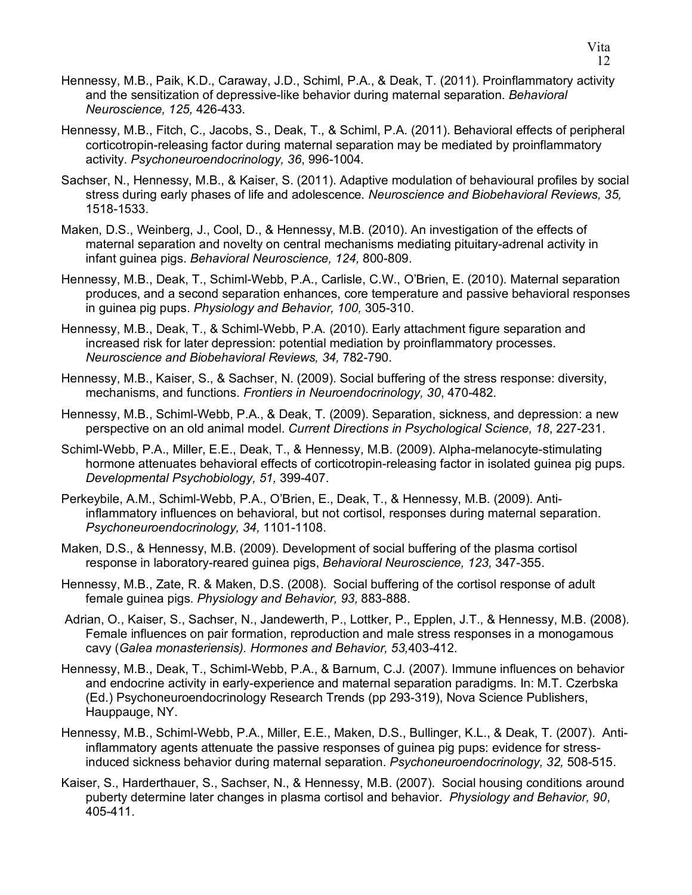- Hennessy, M.B., Paik, K.D., Caraway, J.D., Schiml, P.A., & Deak, T. (2011). Proinflammatory activity and the sensitization of depressive-like behavior during maternal separation. *Behavioral Neuroscience, 125,* 426-433.
- Hennessy, M.B., Fitch, C., Jacobs, S., Deak, T., & Schiml, P.A. (2011). Behavioral effects of peripheral corticotropin-releasing factor during maternal separation may be mediated by proinflammatory activity. *Psychoneuroendocrinology, 36*, 996-1004*.*
- Sachser, N., Hennessy, M.B., & Kaiser, S. (2011). Adaptive modulation of behavioural profiles by social stress during early phases of life and adolescence. *Neuroscience and Biobehavioral Reviews, 35,*  1518-1533.
- Maken, D.S., Weinberg, J., Cool, D., & Hennessy, M.B. (2010). An investigation of the effects of maternal separation and novelty on central mechanisms mediating pituitary-adrenal activity in infant guinea pigs. *Behavioral Neuroscience, 124,* 800-809.
- Hennessy, M.B., Deak, T., Schiml-Webb, P.A., Carlisle, C.W., O'Brien, E. (2010). Maternal separation produces, and a second separation enhances, core temperature and passive behavioral responses in guinea pig pups. *Physiology and Behavior, 100,* 305-310.
- Hennessy, M.B., Deak, T., & Schiml-Webb, P.A. (2010). Early attachment figure separation and increased risk for later depression: potential mediation by proinflammatory processes. *Neuroscience and Biobehavioral Reviews, 34,* 782-790.
- Hennessy, M.B., Kaiser, S., & Sachser, N. (2009). Social buffering of the stress response: diversity, mechanisms, and functions. *Frontiers in Neuroendocrinology, 30*, 470-482*.*
- Hennessy, M.B., Schiml-Webb, P.A., & Deak, T. (2009). Separation, sickness, and depression: a new perspective on an old animal model. *Current Directions in Psychological Science, 18*, 227-231.
- Schiml-Webb, P.A., Miller, E.E., Deak, T., & Hennessy, M.B. (2009). Alpha-melanocyte-stimulating hormone attenuates behavioral effects of corticotropin-releasing factor in isolated guinea pig pups. *Developmental Psychobiology, 51,* 399-407.
- Perkeybile, A.M., Schiml-Webb, P.A., O'Brien, E., Deak, T., & Hennessy, M.B. (2009). Antiinflammatory influences on behavioral, but not cortisol, responses during maternal separation. *Psychoneuroendocrinology, 34,* 1101-1108.
- Maken, D.S., & Hennessy, M.B. (2009). Development of social buffering of the plasma cortisol response in laboratory-reared guinea pigs, *Behavioral Neuroscience, 123,* 347-355.
- Hennessy, M.B., Zate, R. & Maken, D.S. (2008). Social buffering of the cortisol response of adult female guinea pigs. *Physiology and Behavior, 93,* 883-888.
- Adrian, O*.*, Kaiser, S., Sachser, N., Jandewerth, P., Lottker, P., Epplen, J.T., & Hennessy, M.B. (2008). Female influences on pair formation, reproduction and male stress responses in a monogamous cavy (*Galea monasteriensis). Hormones and Behavior, 53,*403-412.
- Hennessy, M.B., Deak, T., Schiml-Webb, P.A., & Barnum, C.J. (2007). Immune influences on behavior and endocrine activity in early-experience and maternal separation paradigms. In: M.T. Czerbska (Ed.) Psychoneuroendocrinology Research Trends (pp 293-319), Nova Science Publishers, Hauppauge, NY.
- Hennessy, M.B., Schiml-Webb, P.A., Miller, E.E., Maken, D.S., Bullinger, K.L., & Deak, T. (2007). Antiinflammatory agents attenuate the passive responses of guinea pig pups: evidence for stressinduced sickness behavior during maternal separation. *Psychoneuroendocrinology, 32,* 508-515.
- Kaiser, S., Harderthauer, S., Sachser, N., & Hennessy, M.B. (2007). Social housing conditions around puberty determine later changes in plasma cortisol and behavior. *Physiology and Behavior, 90*, 405-411.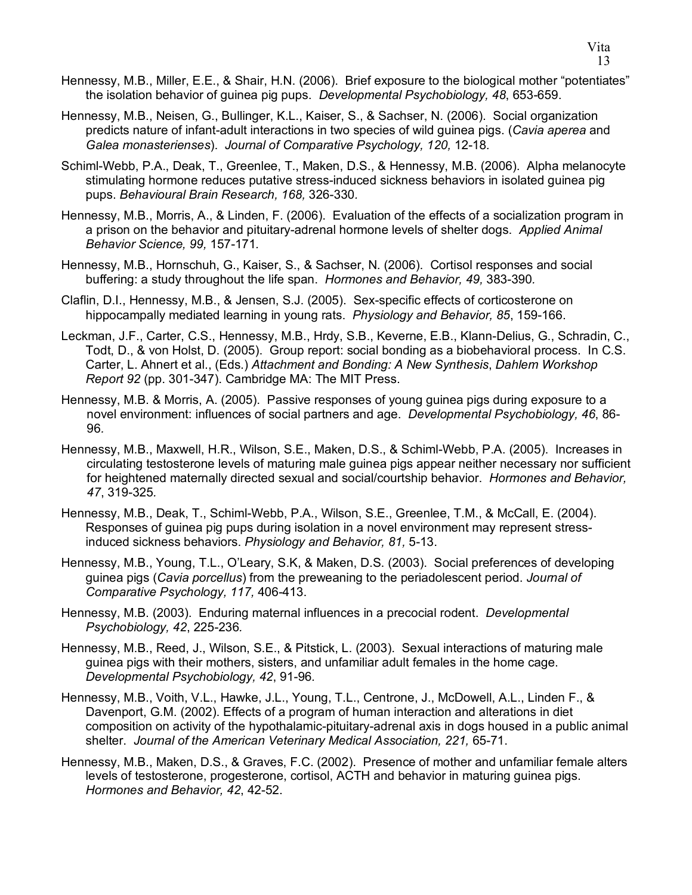- Hennessy, M.B., Miller, E.E., & Shair, H.N. (2006). Brief exposure to the biological mother "potentiates" the isolation behavior of guinea pig pups. *Developmental Psychobiology, 48*, 653-659.
- Hennessy, M.B., Neisen, G., Bullinger, K.L., Kaiser, S., & Sachser, N. (2006). Social organization predicts nature of infant-adult interactions in two species of wild guinea pigs. (*Cavia aperea* and *Galea monasterienses*). *Journal of Comparative Psychology, 120,* 12-18*.*
- Schiml-Webb, P.A., Deak, T., Greenlee, T., Maken, D.S., & Hennessy, M.B. (2006). Alpha melanocyte stimulating hormone reduces putative stress-induced sickness behaviors in isolated guinea pig pups. *Behavioural Brain Research, 168,* 326-330*.*
- Hennessy, M.B., Morris, A., & Linden, F. (2006). Evaluation of the effects of a socialization program in a prison on the behavior and pituitary-adrenal hormone levels of shelter dogs. *Applied Animal Behavior Science, 99,* 157-171*.*
- Hennessy, M.B., Hornschuh, G., Kaiser, S., & Sachser, N. (2006). Cortisol responses and social buffering: a study throughout the life span. *Hormones and Behavior, 49,* 383-390*.*
- Claflin, D.I., Hennessy, M.B., & Jensen, S.J. (2005). Sex-specific effects of corticosterone on hippocampally mediated learning in young rats. *Physiology and Behavior, 85*, 159-166.
- Leckman, J.F., Carter, C.S., Hennessy, M.B., Hrdy, S.B., Keverne, E.B., Klann-Delius, G., Schradin, C., Todt, D., & von Holst, D. (2005). Group report: social bonding as a biobehavioral process. In C.S. Carter, L. Ahnert et al., (Eds.) *Attachment and Bonding: A New Synthesis*, *Dahlem Workshop Report 92* (pp. 301-347). Cambridge MA: The MIT Press.
- Hennessy, M.B. & Morris, A. (2005). Passive responses of young guinea pigs during exposure to a novel environment: influences of social partners and age. *Developmental Psychobiology, 46*, 86- 96*.*
- Hennessy, M.B., Maxwell, H.R., Wilson, S.E., Maken, D.S., & Schiml-Webb, P.A. (2005). Increases in circulating testosterone levels of maturing male guinea pigs appear neither necessary nor sufficient for heightened maternally directed sexual and social/courtship behavior. *Hormones and Behavior, 47*, 319-325*.*
- Hennessy, M.B., Deak, T., Schiml-Webb, P.A., Wilson, S.E., Greenlee, T.M., & McCall, E. (2004). Responses of guinea pig pups during isolation in a novel environment may represent stressinduced sickness behaviors. *Physiology and Behavior, 81,* 5-13.
- Hennessy, M.B., Young, T.L., O'Leary, S.K, & Maken, D.S. (2003). Social preferences of developing guinea pigs (*Cavia porcellus*) from the preweaning to the periadolescent period. *Journal of Comparative Psychology, 117,* 406-413.
- Hennessy, M.B. (2003). Enduring maternal influences in a precocial rodent. *Developmental Psychobiology, 42*, 225-236*.*
- Hennessy, M.B., Reed, J., Wilson, S.E., & Pitstick, L. (2003). Sexual interactions of maturing male guinea pigs with their mothers, sisters, and unfamiliar adult females in the home cage. *Developmental Psychobiology, 42*, 91-96*.*
- Hennessy, M.B., Voith, V.L., Hawke, J.L., Young, T.L., Centrone, J., McDowell, A.L., Linden F., & Davenport, G.M. (2002). Effects of a program of human interaction and alterations in diet composition on activity of the hypothalamic-pituitary-adrenal axis in dogs housed in a public animal shelter. *Journal of the American Veterinary Medical Association, 221,* 65-71.
- Hennessy, M.B., Maken, D.S., & Graves, F.C. (2002). Presence of mother and unfamiliar female alters levels of testosterone, progesterone, cortisol, ACTH and behavior in maturing guinea pigs. *Hormones and Behavior, 42*, 42-52.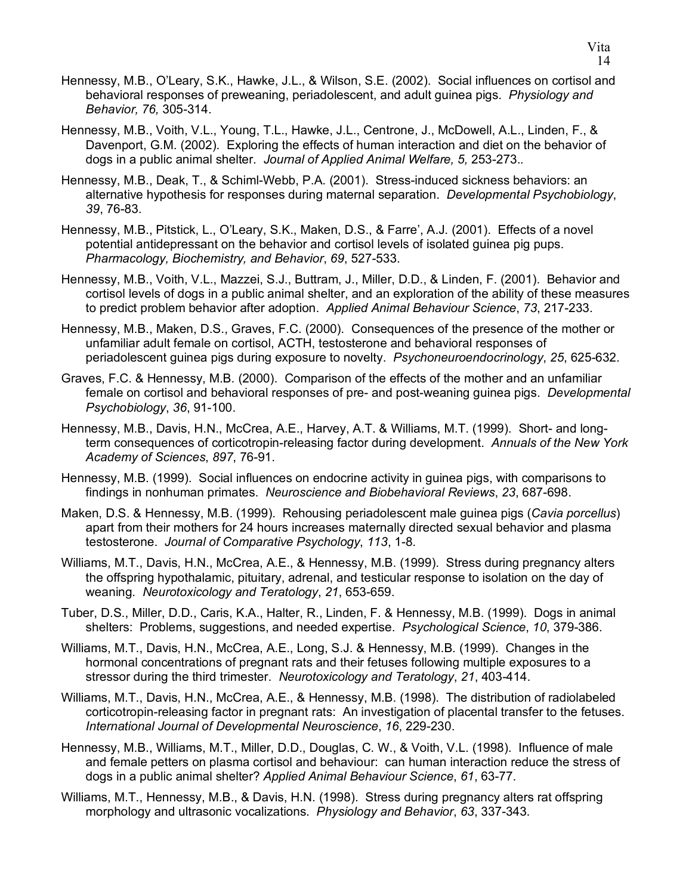- Hennessy, M.B., O'Leary, S.K., Hawke, J.L., & Wilson, S.E. (2002). Social influences on cortisol and behavioral responses of preweaning, periadolescent, and adult guinea pigs. *Physiology and Behavior, 76,* 305-314.
- Hennessy, M.B., Voith, V.L., Young, T.L., Hawke, J.L., Centrone, J., McDowell, A.L., Linden, F., & Davenport, G.M. (2002). Exploring the effects of human interaction and diet on the behavior of dogs in a public animal shelter. *Journal of Applied Animal Welfare, 5,* 253-273.*.*
- Hennessy, M.B., Deak, T., & Schiml-Webb, P.A. (2001). Stress-induced sickness behaviors: an alternative hypothesis for responses during maternal separation. *Developmental Psychobiology*, *39*, 76-83.
- Hennessy, M.B., Pitstick, L., O'Leary, S.K., Maken, D.S., & Farre', A.J. (2001). Effects of a novel potential antidepressant on the behavior and cortisol levels of isolated guinea pig pups. *Pharmacology, Biochemistry, and Behavior*, *69*, 527-533.
- Hennessy, M.B., Voith, V.L., Mazzei, S.J., Buttram, J., Miller, D.D., & Linden, F. (2001). Behavior and cortisol levels of dogs in a public animal shelter, and an exploration of the ability of these measures to predict problem behavior after adoption. *Applied Animal Behaviour Science*, *73*, 217-233.
- Hennessy, M.B., Maken, D.S., Graves, F.C. (2000). Consequences of the presence of the mother or unfamiliar adult female on cortisol, ACTH, testosterone and behavioral responses of periadolescent guinea pigs during exposure to novelty. *Psychoneuroendocrinology*, *25*, 625-632.
- Graves, F.C. & Hennessy, M.B. (2000). Comparison of the effects of the mother and an unfamiliar female on cortisol and behavioral responses of pre- and post-weaning guinea pigs. *Developmental Psychobiology*, *36*, 91-100.
- Hennessy, M.B., Davis, H.N., McCrea, A.E., Harvey, A.T. & Williams, M.T. (1999). Short- and longterm consequences of corticotropin-releasing factor during development. *Annuals of the New York Academy of Sciences*, *897*, 76-91.
- Hennessy, M.B. (1999). Social influences on endocrine activity in guinea pigs, with comparisons to findings in nonhuman primates. *Neuroscience and Biobehavioral Reviews*, *23*, 687-698.
- Maken, D.S. & Hennessy, M.B. (1999). Rehousing periadolescent male guinea pigs (*Cavia porcellus*) apart from their mothers for 24 hours increases maternally directed sexual behavior and plasma testosterone. *Journal of Comparative Psychology*, *113*, 1-8.
- Williams, M.T., Davis, H.N., McCrea, A.E., & Hennessy, M.B. (1999). Stress during pregnancy alters the offspring hypothalamic, pituitary, adrenal, and testicular response to isolation on the day of weaning. *Neurotoxicology and Teratology*, *21*, 653-659.
- Tuber, D.S., Miller, D.D., Caris, K.A., Halter, R., Linden, F. & Hennessy, M.B. (1999). Dogs in animal shelters: Problems, suggestions, and needed expertise. *Psychological Science*, *10*, 379-386.
- Williams, M.T., Davis, H.N., McCrea, A.E., Long, S.J. & Hennessy, M.B. (1999). Changes in the hormonal concentrations of pregnant rats and their fetuses following multiple exposures to a stressor during the third trimester. *Neurotoxicology and Teratology*, *21*, 403-414.
- Williams, M.T., Davis, H.N., McCrea, A.E., & Hennessy, M.B. (1998). The distribution of radiolabeled corticotropin-releasing factor in pregnant rats: An investigation of placental transfer to the fetuses. *International Journal of Developmental Neuroscience*, *16*, 229-230.
- Hennessy, M.B., Williams, M.T., Miller, D.D., Douglas, C. W., & Voith, V.L. (1998). Influence of male and female petters on plasma cortisol and behaviour: can human interaction reduce the stress of dogs in a public animal shelter? *Applied Animal Behaviour Science*, *61*, 63-77.
- Williams, M.T., Hennessy, M.B., & Davis, H.N. (1998). Stress during pregnancy alters rat offspring morphology and ultrasonic vocalizations. *Physiology and Behavior*, *63*, 337-343.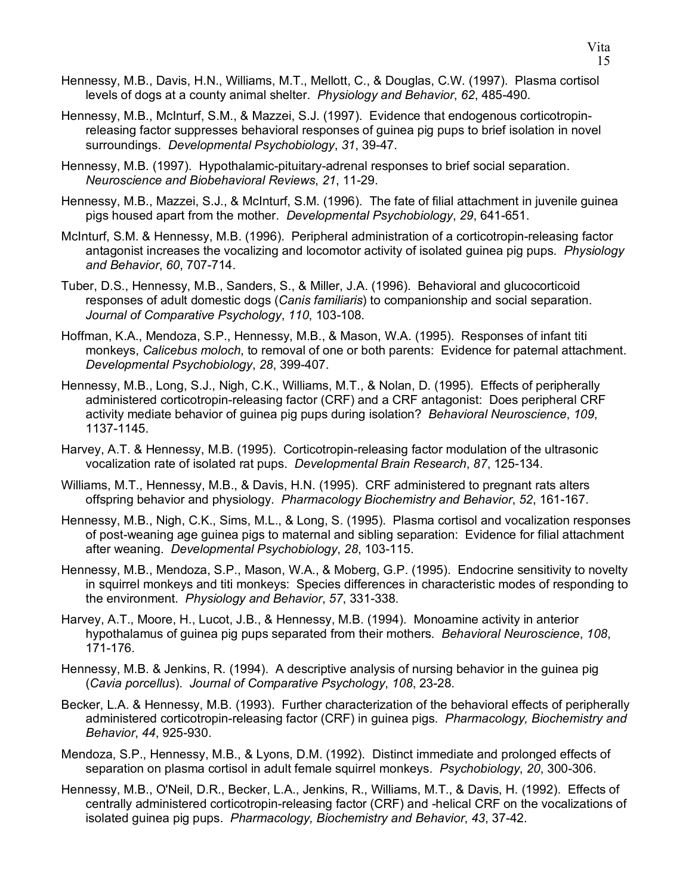- Hennessy, M.B., Davis, H.N., Williams, M.T., Mellott, C., & Douglas, C.W. (1997). Plasma cortisol levels of dogs at a county animal shelter. *Physiology and Behavior*, *62*, 485-490.
- Hennessy, M.B., McInturf, S.M., & Mazzei, S.J. (1997). Evidence that endogenous corticotropinreleasing factor suppresses behavioral responses of guinea pig pups to brief isolation in novel surroundings. *Developmental Psychobiology*, *31*, 39-47.
- Hennessy, M.B. (1997). Hypothalamic-pituitary-adrenal responses to brief social separation. *Neuroscience and Biobehavioral Reviews*, *21*, 11-29.
- Hennessy, M.B., Mazzei, S.J., & McInturf, S.M. (1996). The fate of filial attachment in juvenile guinea pigs housed apart from the mother. *Developmental Psychobiology*, *29*, 641-651.
- McInturf, S.M. & Hennessy, M.B. (1996). Peripheral administration of a corticotropin-releasing factor antagonist increases the vocalizing and locomotor activity of isolated guinea pig pups. *Physiology and Behavior*, *60*, 707-714.
- Tuber, D.S., Hennessy, M.B., Sanders, S., & Miller, J.A. (1996). Behavioral and glucocorticoid responses of adult domestic dogs (*Canis familiaris*) to companionship and social separation. *Journal of Comparative Psychology*, *110*, 103-108.
- Hoffman, K.A., Mendoza, S.P., Hennessy, M.B., & Mason, W.A. (1995). Responses of infant titi monkeys, *Calicebus moloch*, to removal of one or both parents: Evidence for paternal attachment. *Developmental Psychobiology*, *28*, 399-407.
- Hennessy, M.B., Long, S.J., Nigh, C.K., Williams, M.T., & Nolan, D. (1995). Effects of peripherally administered corticotropin-releasing factor (CRF) and a CRF antagonist: Does peripheral CRF activity mediate behavior of guinea pig pups during isolation? *Behavioral Neuroscience*, *109*, 1137-1145.
- Harvey, A.T. & Hennessy, M.B. (1995). Corticotropin-releasing factor modulation of the ultrasonic vocalization rate of isolated rat pups. *Developmental Brain Research*, *87*, 125-134.
- Williams, M.T., Hennessy, M.B., & Davis, H.N. (1995). CRF administered to pregnant rats alters offspring behavior and physiology. *Pharmacology Biochemistry and Behavior*, *52*, 161-167.
- Hennessy, M.B., Nigh, C.K., Sims, M.L., & Long, S. (1995). Plasma cortisol and vocalization responses of post-weaning age guinea pigs to maternal and sibling separation: Evidence for filial attachment after weaning. *Developmental Psychobiology*, *28*, 103-115.
- Hennessy, M.B., Mendoza, S.P., Mason, W.A., & Moberg, G.P. (1995). Endocrine sensitivity to novelty in squirrel monkeys and titi monkeys: Species differences in characteristic modes of responding to the environment. *Physiology and Behavior*, *57*, 331-338.
- Harvey, A.T., Moore, H., Lucot, J.B., & Hennessy, M.B. (1994). Monoamine activity in anterior hypothalamus of guinea pig pups separated from their mothers. *Behavioral Neuroscience*, *108*, 171-176.
- Hennessy, M.B. & Jenkins, R. (1994). A descriptive analysis of nursing behavior in the guinea pig (*Cavia porcellus*). *Journal of Comparative Psychology*, *108*, 23-28.
- Becker, L.A. & Hennessy, M.B. (1993). Further characterization of the behavioral effects of peripherally administered corticotropin-releasing factor (CRF) in guinea pigs. *Pharmacology, Biochemistry and Behavior*, *44*, 925-930.
- Mendoza, S.P., Hennessy, M.B., & Lyons, D.M. (1992). Distinct immediate and prolonged effects of separation on plasma cortisol in adult female squirrel monkeys. *Psychobiology*, *20*, 300-306.
- Hennessy, M.B., O'Neil, D.R., Becker, L.A., Jenkins, R., Williams, M.T., & Davis, H. (1992). Effects of centrally administered corticotropin-releasing factor (CRF) and -helical CRF on the vocalizations of isolated guinea pig pups. *Pharmacology, Biochemistry and Behavior*, *43*, 37-42.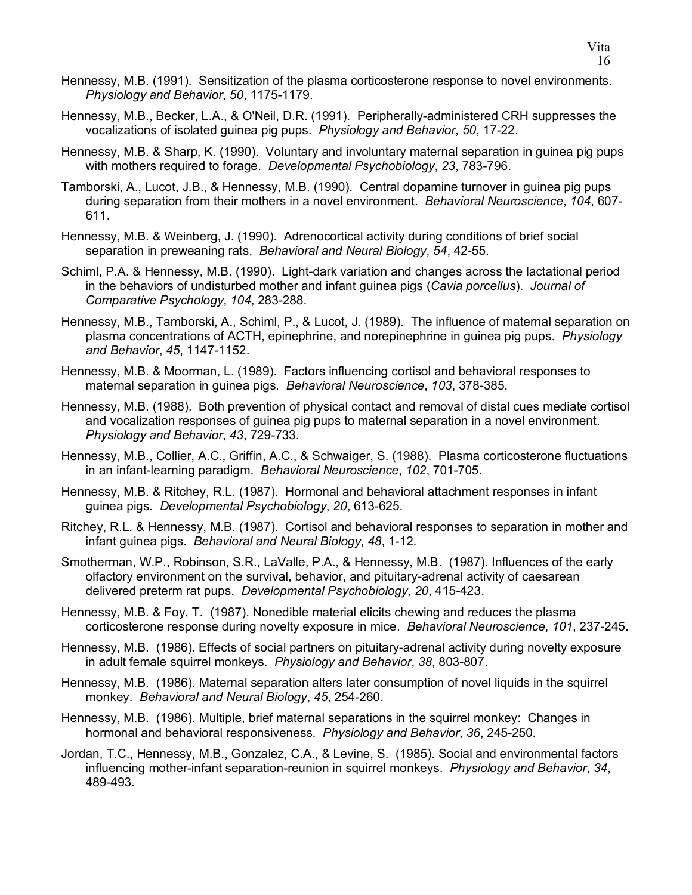- Hennessy, M.B. (1991). Sensitization of the plasma corticosterone response to novel environments. *Physiology and Behavior*, *50*, 1175-1179.
- Hennessy, M.B., Becker, L.A., & O'Neil, D.R. (1991). Peripherally-administered CRH suppresses the vocalizations of isolated guinea pig pups. *Physiology and Behavior*, *50*, 17-22.
- Hennessy, M.B. & Sharp, K. (1990). Voluntary and involuntary maternal separation in guinea pig pups with mothers required to forage. *Developmental Psychobiology*, *23*, 783-796.
- Tamborski, A., Lucot, J.B., & Hennessy, M.B. (1990). Central dopamine turnover in guinea pig pups during separation from their mothers in a novel environment. *Behavioral Neuroscience*, *104*, 607- 611.
- Hennessy, M.B. & Weinberg, J. (1990). Adrenocortical activity during conditions of brief social separation in preweaning rats. *Behavioral and Neural Biology*, *54*, 42-55.
- Schiml, P.A. & Hennessy, M.B. (1990). Light-dark variation and changes across the lactational period in the behaviors of undisturbed mother and infant guinea pigs (*Cavia porcellus*). *Journal of Comparative Psychology*, *104*, 283-288.
- Hennessy, M.B., Tamborski, A., Schiml, P., & Lucot, J. (1989). The influence of maternal separation on plasma concentrations of ACTH, epinephrine, and norepinephrine in guinea pig pups. *Physiology and Behavior*, *45*, 1147-1152.
- Hennessy, M.B. & Moorman, L. (1989). Factors influencing cortisol and behavioral responses to maternal separation in guinea pigs. *Behavioral Neuroscience*, *103*, 378-385.
- Hennessy, M.B. (1988). Both prevention of physical contact and removal of distal cues mediate cortisol and vocalization responses of guinea pig pups to maternal separation in a novel environment. *Physiology and Behavior*, *43*, 729-733.
- Hennessy, M.B., Collier, A.C., Griffin, A.C., & Schwaiger, S. (1988). Plasma corticosterone fluctuations in an infant-learning paradigm. *Behavioral Neuroscience*, *102*, 701-705.
- Hennessy, M.B. & Ritchey, R.L. (1987). Hormonal and behavioral attachment responses in infant guinea pigs. *Developmental Psychobiology*, *20*, 613-625.
- Ritchey, R.L. & Hennessy, M.B. (1987). Cortisol and behavioral responses to separation in mother and infant guinea pigs. *Behavioral and Neural Biology*, *48*, 1-12.
- Smotherman, W.P., Robinson, S.R., LaValle, P.A., & Hennessy, M.B. (1987). Influences of the early olfactory environment on the survival, behavior, and pituitary-adrenal activity of caesarean delivered preterm rat pups. *Developmental Psychobiology*, *20*, 415-423.
- Hennessy, M.B. & Foy, T. (1987). Nonedible material elicits chewing and reduces the plasma corticosterone response during novelty exposure in mice. *Behavioral Neuroscience*, *101*, 237-245.
- Hennessy, M.B. (1986). Effects of social partners on pituitary-adrenal activity during novelty exposure in adult female squirrel monkeys. *Physiology and Behavior*, *38*, 803-807.
- Hennessy, M.B. (1986). Maternal separation alters later consumption of novel liquids in the squirrel monkey. *Behavioral and Neural Biology*, *45*, 254-260.
- Hennessy, M.B. (1986). Multiple, brief maternal separations in the squirrel monkey: Changes in hormonal and behavioral responsiveness. *Physiology and Behavior*, *36*, 245-250.
- Jordan, T.C., Hennessy, M.B., Gonzalez, C.A., & Levine, S. (1985). Social and environmental factors influencing mother-infant separation-reunion in squirrel monkeys. *Physiology and Behavior*, *34*, 489-493.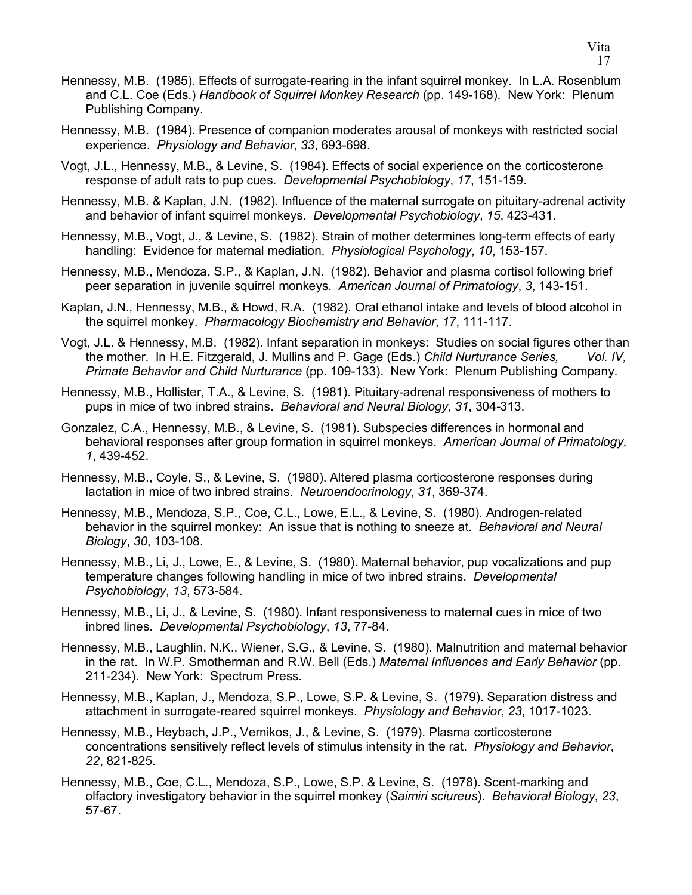- Hennessy, M.B. (1985). Effects of surrogate-rearing in the infant squirrel monkey. In L.A. Rosenblum and C.L. Coe (Eds.) *Handbook of Squirrel Monkey Research* (pp. 149-168). New York: Plenum Publishing Company.
- Hennessy, M.B. (1984). Presence of companion moderates arousal of monkeys with restricted social experience. *Physiology and Behavior*, *33*, 693-698.
- Vogt, J.L., Hennessy, M.B., & Levine, S. (1984). Effects of social experience on the corticosterone response of adult rats to pup cues. *Developmental Psychobiology*, *17*, 151-159.
- Hennessy, M.B. & Kaplan, J.N. (1982). Influence of the maternal surrogate on pituitary-adrenal activity and behavior of infant squirrel monkeys. *Developmental Psychobiology*, *15*, 423-431.
- Hennessy, M.B., Vogt, J., & Levine, S. (1982). Strain of mother determines long-term effects of early handling: Evidence for maternal mediation. *Physiological Psychology*, *10*, 153-157.
- Hennessy, M.B., Mendoza, S.P., & Kaplan, J.N. (1982). Behavior and plasma cortisol following brief peer separation in juvenile squirrel monkeys. *American Journal of Primatology*, *3*, 143-151.
- Kaplan, J.N., Hennessy, M.B., & Howd, R.A. (1982). Oral ethanol intake and levels of blood alcohol in the squirrel monkey. *Pharmacology Biochemistry and Behavior*, *17*, 111-117.
- Vogt, J.L. & Hennessy, M.B. (1982). Infant separation in monkeys: Studies on social figures other than the mother. In H.E. Fitzgerald, J. Mullins and P. Gage (Eds.) *Child Nurturance Series, Vol. IV, Primate Behavior and Child Nurturance* (pp. 109-133). New York: Plenum Publishing Company.
- Hennessy, M.B., Hollister, T.A., & Levine, S. (1981). Pituitary-adrenal responsiveness of mothers to pups in mice of two inbred strains. *Behavioral and Neural Biology*, *31*, 304-313.
- Gonzalez, C.A., Hennessy, M.B., & Levine, S. (1981). Subspecies differences in hormonal and behavioral responses after group formation in squirrel monkeys. *American Journal of Primatology*, *1*, 439-452.
- Hennessy, M.B., Coyle, S., & Levine, S. (1980). Altered plasma corticosterone responses during lactation in mice of two inbred strains. *Neuroendocrinology*, *31*, 369-374.
- Hennessy, M.B., Mendoza, S.P., Coe, C.L., Lowe, E.L., & Levine, S. (1980). Androgen-related behavior in the squirrel monkey: An issue that is nothing to sneeze at. *Behavioral and Neural Biology*, *30*, 103-108.
- Hennessy, M.B., Li, J., Lowe, E., & Levine, S. (1980). Maternal behavior, pup vocalizations and pup temperature changes following handling in mice of two inbred strains. *Developmental Psychobiology*, *13*, 573-584.
- Hennessy, M.B., Li, J., & Levine, S. (1980). Infant responsiveness to maternal cues in mice of two inbred lines. *Developmental Psychobiology*, *13*, 77-84.
- Hennessy, M.B., Laughlin, N.K., Wiener, S.G., & Levine, S. (1980). Malnutrition and maternal behavior in the rat. In W.P. Smotherman and R.W. Bell (Eds.) *Maternal Influences and Early Behavior* (pp. 211-234). New York: Spectrum Press.
- Hennessy, M.B., Kaplan, J., Mendoza, S.P., Lowe, S.P. & Levine, S. (1979). Separation distress and attachment in surrogate-reared squirrel monkeys. *Physiology and Behavior*, *23*, 1017-1023.
- Hennessy, M.B., Heybach, J.P., Vernikos, J., & Levine, S. (1979). Plasma corticosterone concentrations sensitively reflect levels of stimulus intensity in the rat. *Physiology and Behavior*, *22*, 821-825.
- Hennessy, M.B., Coe, C.L., Mendoza, S.P., Lowe, S.P. & Levine, S. (1978). Scent-marking and olfactory investigatory behavior in the squirrel monkey (*Saimiri sciureus*). *Behavioral Biology*, *23*, 57-67.